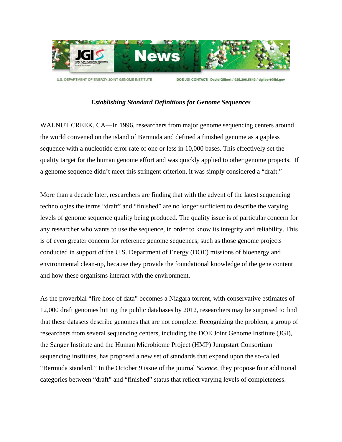

U.S. DEPARTMENT OF ENERGY JOINT GENOME INSTITUTE

DOE JGI CONTACT: David Gilbert / 925.296.5643 / dgilbert@lbl.gov

## *Establishing Standard Definitions for Genome Sequences*

WALNUT CREEK, CA—In 1996, researchers from major genome sequencing centers around the world convened on the island of Bermuda and defined a finished genome as a gapless sequence with a nucleotide error rate of one or less in 10,000 bases. This effectively set the quality target for the human genome effort and was quickly applied to other genome projects. If a genome sequence didn't meet this stringent criterion, it was simply considered a "draft."

More than a decade later, researchers are finding that with the advent of the latest sequencing technologies the terms "draft" and "finished" are no longer sufficient to describe the varying levels of genome sequence quality being produced. The quality issue is of particular concern for any researcher who wants to use the sequence, in order to know its integrity and reliability. This is of even greater concern for reference genome sequences, such as those genome projects conducted in support of the U.S. Department of Energy (DOE) missions of bioenergy and environmental clean-up, because they provide the foundational knowledge of the gene content and how these organisms interact with the environment.

As the proverbial "fire hose of data" becomes a Niagara torrent, with conservative estimates of 12,000 draft genomes hitting the public databases by 2012, researchers may be surprised to find that these datasets describe genomes that are not complete. Recognizing the problem, a group of researchers from several sequencing centers, including the DOE Joint Genome Institute (JGI), the Sanger Institute and the Human Microbiome Project (HMP) Jumpstart Consortium sequencing institutes, has proposed a new set of standards that expand upon the so-called "Bermuda standard." In the October 9 issue of the journal *Science*, they propose four additional categories between "draft" and "finished" status that reflect varying levels of completeness.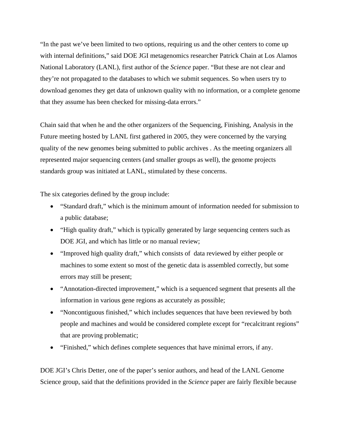"In the past we've been limited to two options, requiring us and the other centers to come up with internal definitions," said DOE JGI metagenomics researcher Patrick Chain at Los Alamos National Laboratory (LANL), first author of the *Science* paper. "But these are not clear and they're not propagated to the databases to which we submit sequences. So when users try to download genomes they get data of unknown quality with no information, or a complete genome that they assume has been checked for missing-data errors."

Chain said that when he and the other organizers of the Sequencing, Finishing, Analysis in the Future meeting hosted by LANL first gathered in 2005, they were concerned by the varying quality of the new genomes being submitted to public archives . As the meeting organizers all represented major sequencing centers (and smaller groups as well), the genome projects standards group was initiated at LANL, stimulated by these concerns.

The six categories defined by the group include:

- "Standard draft," which is the minimum amount of information needed for submission to a public database;
- "High quality draft," which is typically generated by large sequencing centers such as DOE JGI, and which has little or no manual review;
- "Improved high quality draft," which consists of data reviewed by either people or machines to some extent so most of the genetic data is assembled correctly, but some errors may still be present;
- "Annotation-directed improvement," which is a sequenced segment that presents all the information in various gene regions as accurately as possible;
- "Noncontiguous finished," which includes sequences that have been reviewed by both people and machines and would be considered complete except for "recalcitrant regions" that are proving problematic;
- "Finished," which defines complete sequences that have minimal errors, if any.

DOE JGI's Chris Detter, one of the paper's senior authors, and head of the LANL Genome Science group, said that the definitions provided in the *Science* paper are fairly flexible because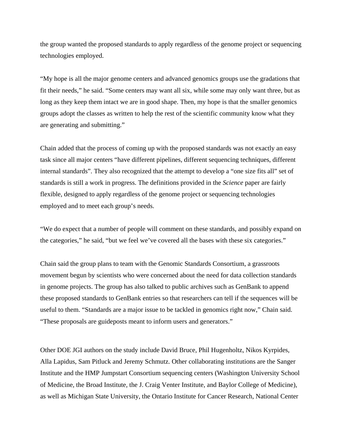the group wanted the proposed standards to apply regardless of the genome project or sequencing technologies employed.

"My hope is all the major genome centers and advanced genomics groups use the gradations that fit their needs," he said. "Some centers may want all six, while some may only want three, but as long as they keep them intact we are in good shape. Then, my hope is that the smaller genomics groups adopt the classes as written to help the rest of the scientific community know what they are generating and submitting."

Chain added that the process of coming up with the proposed standards was not exactly an easy task since all major centers "have different pipelines, different sequencing techniques, different internal standards". They also recognized that the attempt to develop a "one size fits all" set of standards is still a work in progress. The definitions provided in the *Science* paper are fairly flexible, designed to apply regardless of the genome project or sequencing technologies employed and to meet each group's needs.

"We do expect that a number of people will comment on these standards, and possibly expand on the categories," he said, "but we feel we've covered all the bases with these six categories."

Chain said the group plans to team with the Genomic Standards Consortium, a grassroots movement begun by scientists who were concerned about the need for data collection standards in genome projects. The group has also talked to public archives such as GenBank to append these proposed standards to GenBank entries so that researchers can tell if the sequences will be useful to them. "Standards are a major issue to be tackled in genomics right now," Chain said. "These proposals are guideposts meant to inform users and generators."

Other DOE JGI authors on the study include David Bruce, Phil Hugenholtz, Nikos Kyrpides, Alla Lapidus, Sam Pitluck and Jeremy Schmutz. Other collaborating institutions are the Sanger Institute and the HMP Jumpstart Consortium sequencing centers (Washington University School of Medicine, the Broad Institute, the J. Craig Venter Institute, and Baylor College of Medicine), as well as Michigan State University, the Ontario Institute for Cancer Research, National Center